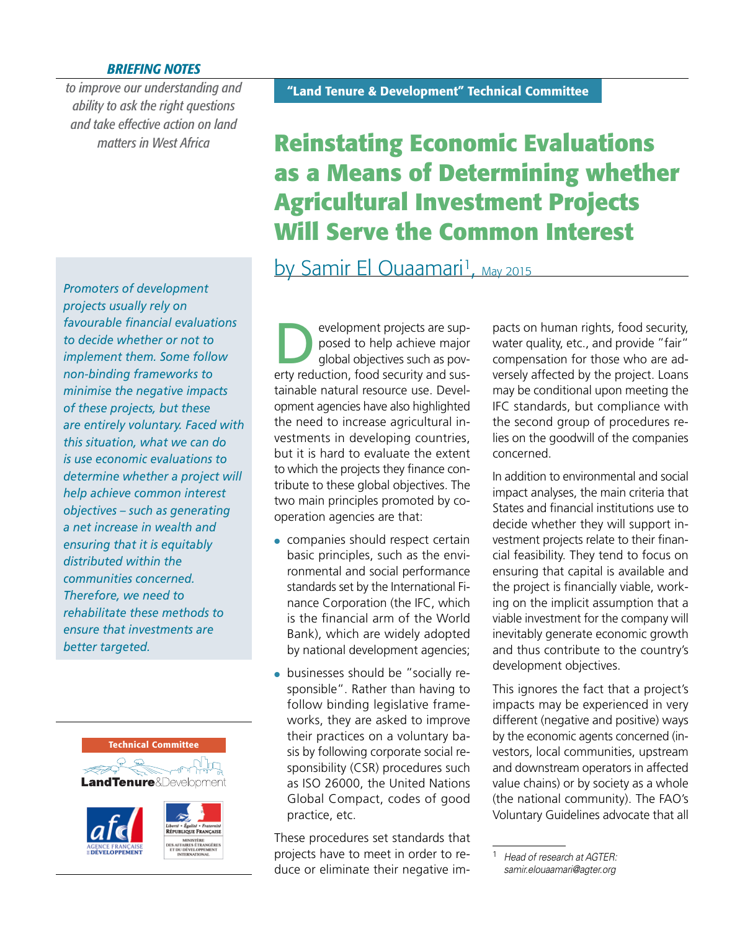## *BRIEFING NOTES*

*to improve our understanding and ability to ask the right questions and take effective action on land* 

*Promoters of development projects usually rely on favourable fi nancial evaluations to decide whether or not to implement them. Some follow non-binding frameworks to minimise the negative impacts of these projects, but these are entirely voluntary. Faced with this situation, what we can do is use economic evaluations to determine whether a project will help achieve common interest objectives – such as generating a net increase in wealth and ensuring that it is equitably distributed within the communities concerned. Therefore, we need to rehabilitate these methods to ensure that investments are better targeted.*



## **"Land Tenure & Development" Technical Committee**

# *matters in West Africa* **Reinstating Economic Evaluations as a Means of Determining whether Agricultural Investment Projects Will Serve the Common Interest**

by Samir El Ouaamari<sup>1</sup>, May 2015

evelopment projects are sup-<br>posed to help achieve major<br>global objectives such as povposed to help achieve major erty reduction, food security and sustainable natural resource use. Development agencies have also highlighted the need to increase agricultural investments in developing countries, but it is hard to evaluate the extent to which the projects they finance contribute to these global objectives. The two main principles promoted by cooperation agencies are that:

- companies should respect certain basic principles, such as the environmental and social performance standards set by the International Finance Corporation (the IFC, which is the financial arm of the World Bank), which are widely adopted by national development agencies;
- businesses should be "socially responsible". Rather than having to follow binding legislative frameworks, they are asked to improve their practices on a voluntary basis by following corporate social responsibility (CSR) procedures such as ISO 26000, the United Nations Global Compact, codes of good practice, etc.

These procedures set standards that projects have to meet in order to reduce or eliminate their negative impacts on human rights, food security, water quality, etc., and provide "fair" compensation for those who are adversely affected by the project. Loans may be conditional upon meeting the IFC standards, but compliance with the second group of procedures relies on the goodwill of the companies concerned.

In addition to environmental and social impact analyses, the main criteria that States and financial institutions use to decide whether they will support investment projects relate to their financial feasibility. They tend to focus on ensuring that capital is available and the project is financially viable, working on the implicit assumption that a viable investment for the company will inevitably generate economic growth and thus contribute to the country's development objectives.

This ignores the fact that a project's impacts may be experienced in very different (negative and positive) ways by the economic agents concerned (investors, local communities, upstream and downstream operators in affected value chains) or by society as a whole (the national community). The FAO's Voluntary Guidelines advocate that all

<sup>1</sup> *Head of research at AGTER: [samir.elouaamari@agter.org](mailto:samir.elouaamari@agter.org)*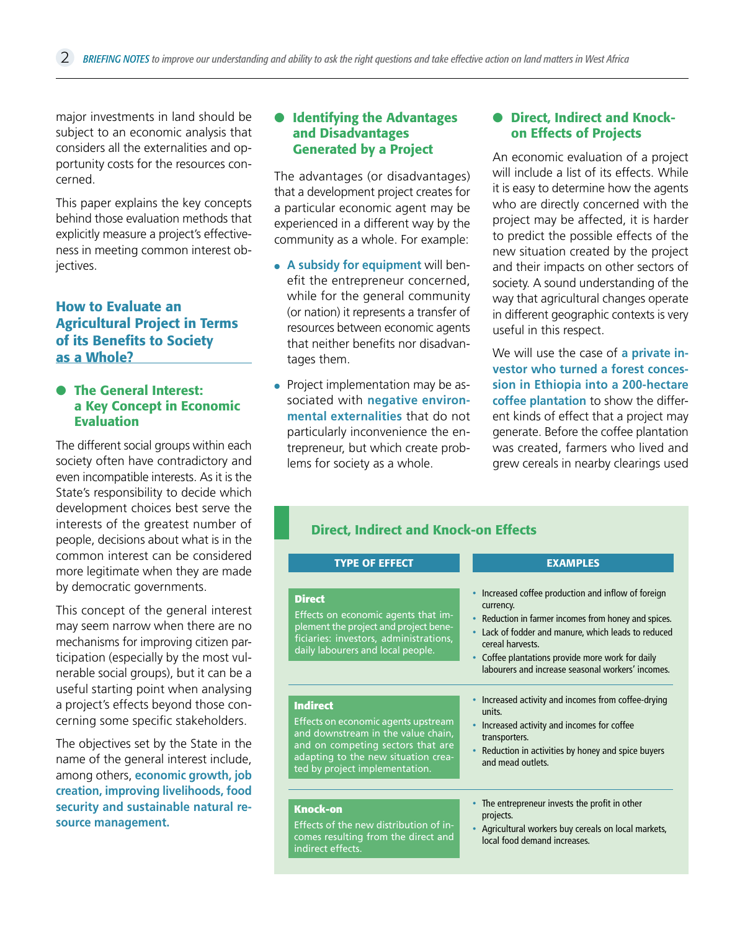major investments in land should be subject to an economic analysis that considers all the externalities and opportunity costs for the resources concerned.

This paper explains the key concepts behind those evaluation methods that explicitly measure a project's effectiveness in meeting common interest objectives.

## **How to Evaluate an Agricultural Project in Terms of its Benefits to Society as a Whole?**

## ● **The General Interest: a Key Concept in Economic Evaluation**

The different social groups within each society often have contradictory and even incompatible interests. As it is the State's responsibility to decide which development choices best serve the interests of the greatest number of people, decisions about what is in the common interest can be considered more legitimate when they are made by democratic governments.

This concept of the general interest may seem narrow when there are no mechanisms for improving citizen participation (especially by the most vulnerable social groups), but it can be a useful starting point when analysing a project's effects beyond those concerning some specific stakeholders.

The objectives set by the State in the name of the general interest include, among others, **economic growth, job creation, improving livelihoods, food security and sustainable natural resource management.** 

#### ● **Identifying the Advantages and Disadvantages Generated by a Project**

The advantages (or disadvantages) that a development project creates for a particular economic agent may be experienced in a different way by the community as a whole. For example:

- **A subsidy for equipment** will benefit the entrepreneur concerned, while for the general community (or nation) it represents a transfer of resources between economic agents that neither benefits nor disadvantages them.
- Project implementation may be associated with **negative environmental externalities** that do not particularly inconvenience the entrepreneur, but which create problems for society as a whole.

## ● **Direct, Indirect and Knockon Effects of Projects**

An economic evaluation of a project will include a list of its effects. While it is easy to determine how the agents who are directly concerned with the project may be affected, it is harder to predict the possible effects of the new situation created by the project and their impacts on other sectors of society. A sound understanding of the way that agricultural changes operate in different geographic contexts is very useful in this respect.

We will use the case of **a private investor who turned a forest concession in Ethiopia into a 200-hectare coffee plantation** to show the different kinds of effect that a project may generate. Before the coffee plantation was created, farmers who lived and grew cereals in nearby clearings used

## **Direct, Indirect and Knock-on Effects**

| <b>TYPE OF EFFECT</b>                                                                                                                                                        | <b>EXAMPLES</b>                                                                                                                                                                                                                                                                                        |
|------------------------------------------------------------------------------------------------------------------------------------------------------------------------------|--------------------------------------------------------------------------------------------------------------------------------------------------------------------------------------------------------------------------------------------------------------------------------------------------------|
| <b>Direct</b><br>Effects on economic agents that im-<br>plement the project and project bene-<br>ficiaries: investors, administrations,<br>daily labourers and local people. | Increased coffee production and inflow of foreign<br>currency.<br>• Reduction in farmer incomes from honey and spices.<br>Lack of fodder and manure, which leads to reduced<br>cereal harvests.<br>Coffee plantations provide more work for daily<br>labourers and increase seasonal workers' incomes. |
| <b>Indirect</b>                                                                                                                                                              | Increased activity and incomes from coffee-drying                                                                                                                                                                                                                                                      |
| Effects on economic agents upstream                                                                                                                                          | units.                                                                                                                                                                                                                                                                                                 |
| and downstream in the value chain,                                                                                                                                           | Increased activity and incomes for coffee                                                                                                                                                                                                                                                              |
| and on competing sectors that are                                                                                                                                            | transporters.                                                                                                                                                                                                                                                                                          |
| adapting to the new situation crea-                                                                                                                                          | Reduction in activities by honey and spice buyers                                                                                                                                                                                                                                                      |
| ted by project implementation.                                                                                                                                               | and mead outlets.                                                                                                                                                                                                                                                                                      |
| <b>Knock-on</b>                                                                                                                                                              | The entrepreneur invests the profit in other                                                                                                                                                                                                                                                           |
| Effects of the new distribution of in-                                                                                                                                       | projects.                                                                                                                                                                                                                                                                                              |
| comes resulting from the direct and                                                                                                                                          | Agricultural workers buy cereals on local markets,                                                                                                                                                                                                                                                     |
| indirect effects.                                                                                                                                                            | local food demand increases.                                                                                                                                                                                                                                                                           |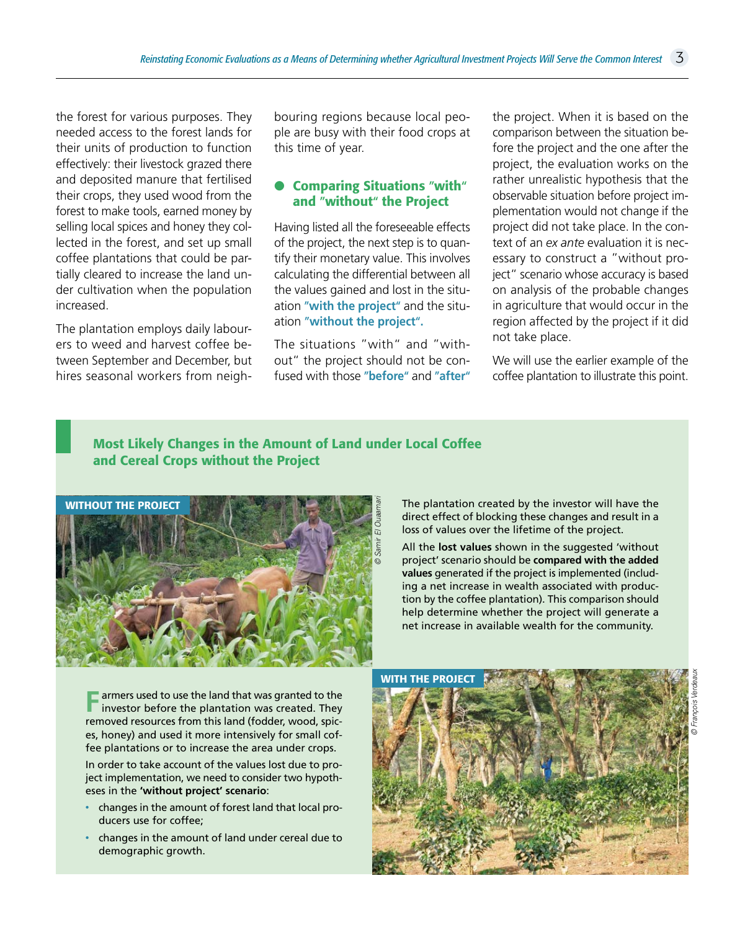the forest for various purposes. They needed access to the forest lands for their units of production to function effectively: their livestock grazed there and deposited manure that fertilised their crops, they used wood from the forest to make tools, earned money by selling local spices and honey they collected in the forest, and set up small coffee plantations that could be partially cleared to increase the land under cultivation when the population increased.

The plantation employs daily labourers to weed and harvest coffee between September and December, but hires seasonal workers from neigh-

bouring regions because local people are busy with their food crops at this time of year.

## ● **Comparing Situations "with" and "without" the Project**

Having listed all the foreseeable effects of the project, the next step is to quantify their monetary value. This involves calculating the differential between all the values gained and lost in the situation **"with the project"** and the situation **"without the project".**

The situations "with" and "without" the project should not be confused with those **"before"** and **"after"** the project. When it is based on the comparison between the situation before the project and the one after the project, the evaluation works on the rather unrealistic hypothesis that the observable situation before project implementation would not change if the project did not take place. In the context of an *ex ante* evaluation it is necessary to construct a "without project" scenario whose accuracy is based on analysis of the probable changes in agriculture that would occur in the region affected by the project if it did not take place.

We will use the earlier example of the coffee plantation to illustrate this point.

## **Most Likely Changes in the Amount of Land under Local Coffee and Cereal Crops without the Project**



The plantation created by the investor will have the direct effect of blocking these changes and result in a loss of values over the lifetime of the project.

All the **lost values** shown in the suggested 'without project' scenario should be **compared with the added values** generated if the project is implemented (including a net increase in wealth associated with production by the coffee plantation). This comparison should help determine whether the project will generate a net increase in available wealth for the community.

**F** armers used to use the land that was granted to the investor before the plantation was created. They removed resources from this land (fodder, wood, spices, honey) and used it more intensively for small coffee plantations or to increase the area under crops.

In order to take account of the values lost due to project implementation, we need to consider two hypotheses in the **'without project' scenario**:

- changes in the amount of forest land that local producers use for coffee;
- changes in the amount of land under cereal due to demographic growth.